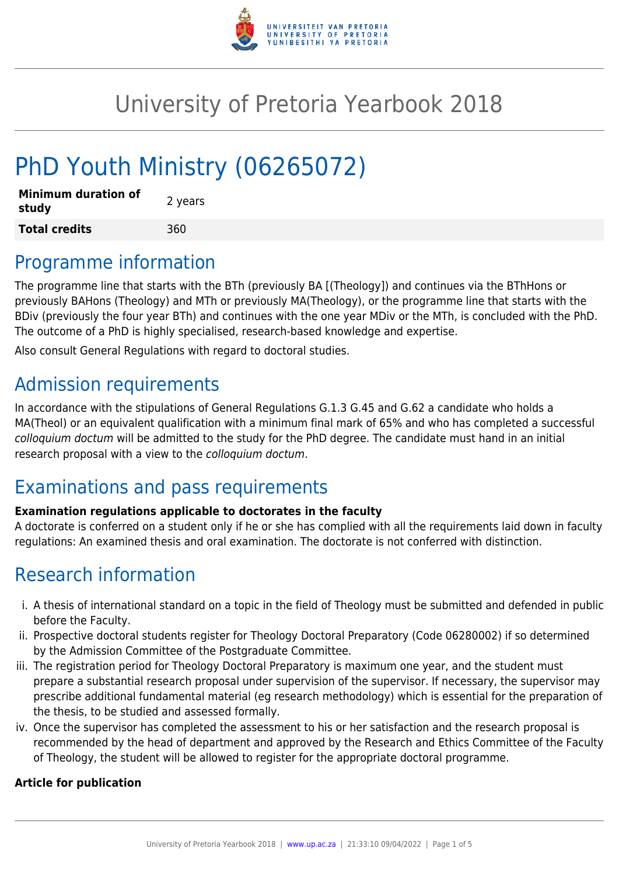

# University of Pretoria Yearbook 2018

# PhD Youth Ministry (06265072)

| <b>Minimum duration of</b><br>study | 2 years |
|-------------------------------------|---------|
| <b>Total credits</b>                | 360     |

### Programme information

The programme line that starts with the BTh (previously BA [(Theology]) and continues via the BThHons or previously BAHons (Theology) and MTh or previously MA(Theology), or the programme line that starts with the BDiv (previously the four year BTh) and continues with the one year MDiv or the MTh, is concluded with the PhD. The outcome of a PhD is highly specialised, research-based knowledge and expertise.

Also consult General Regulations with regard to doctoral studies.

# Admission requirements

In accordance with the stipulations of General Regulations G.1.3 G.45 and G.62 a candidate who holds a MA(Theol) or an equivalent qualification with a minimum final mark of 65% and who has completed a successful colloquium doctum will be admitted to the study for the PhD degree. The candidate must hand in an initial research proposal with a view to the colloquium doctum.

# Examinations and pass requirements

#### **Examination regulations applicable to doctorates in the faculty**

A doctorate is conferred on a student only if he or she has complied with all the requirements laid down in faculty regulations: An examined thesis and oral examination. The doctorate is not conferred with distinction.

# Research information

- i. A thesis of international standard on a topic in the field of Theology must be submitted and defended in public before the Faculty.
- ii. Prospective doctoral students register for Theology Doctoral Preparatory (Code 06280002) if so determined by the Admission Committee of the Postgraduate Committee.
- iii. The registration period for Theology Doctoral Preparatory is maximum one year, and the student must prepare a substantial research proposal under supervision of the supervisor. If necessary, the supervisor may prescribe additional fundamental material (eg research methodology) which is essential for the preparation of the thesis, to be studied and assessed formally.
- iv. Once the supervisor has completed the assessment to his or her satisfaction and the research proposal is recommended by the head of department and approved by the Research and Ethics Committee of the Faculty of Theology, the student will be allowed to register for the appropriate doctoral programme.

#### **Article for publication**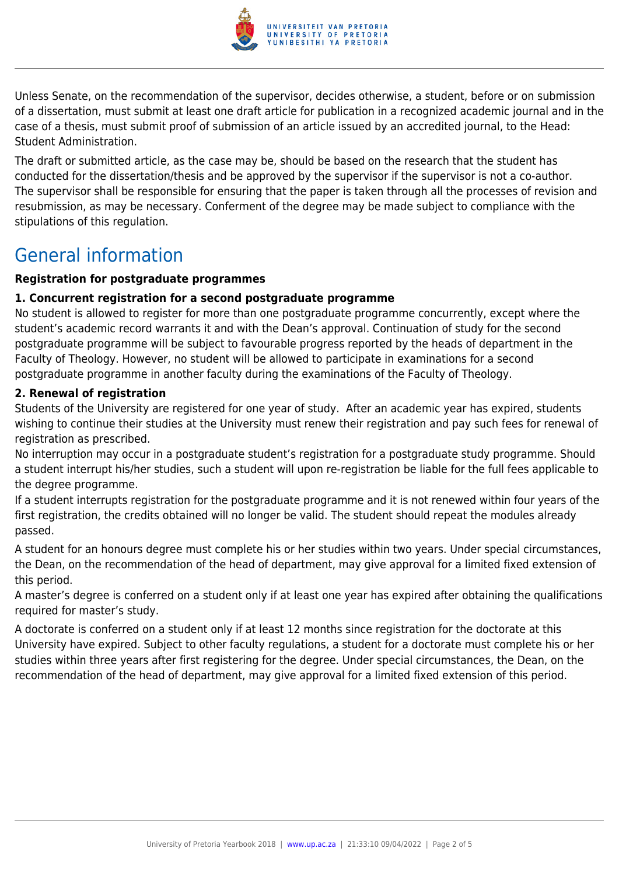

Unless Senate, on the recommendation of the supervisor, decides otherwise, a student, before or on submission of a dissertation, must submit at least one draft article for publication in a recognized academic journal and in the case of a thesis, must submit proof of submission of an article issued by an accredited journal, to the Head: Student Administration.

The draft or submitted article, as the case may be, should be based on the research that the student has conducted for the dissertation/thesis and be approved by the supervisor if the supervisor is not a co-author. The supervisor shall be responsible for ensuring that the paper is taken through all the processes of revision and resubmission, as may be necessary. Conferment of the degree may be made subject to compliance with the stipulations of this regulation.

### General information

#### **Registration for postgraduate programmes**

#### **1. Concurrent registration for a second postgraduate programme**

No student is allowed to register for more than one postgraduate programme concurrently, except where the student's academic record warrants it and with the Dean's approval. Continuation of study for the second postgraduate programme will be subject to favourable progress reported by the heads of department in the Faculty of Theology. However, no student will be allowed to participate in examinations for a second postgraduate programme in another faculty during the examinations of the Faculty of Theology.

#### **2. Renewal of registration**

Students of the University are registered for one year of study. After an academic year has expired, students wishing to continue their studies at the University must renew their registration and pay such fees for renewal of registration as prescribed.

No interruption may occur in a postgraduate student's registration for a postgraduate study programme. Should a student interrupt his/her studies, such a student will upon re-registration be liable for the full fees applicable to the degree programme.

If a student interrupts registration for the postgraduate programme and it is not renewed within four years of the first registration, the credits obtained will no longer be valid. The student should repeat the modules already passed.

A student for an honours degree must complete his or her studies within two years. Under special circumstances, the Dean, on the recommendation of the head of department, may give approval for a limited fixed extension of this period.

A master's degree is conferred on a student only if at least one year has expired after obtaining the qualifications required for master's study.

A doctorate is conferred on a student only if at least 12 months since registration for the doctorate at this University have expired. Subject to other faculty regulations, a student for a doctorate must complete his or her studies within three years after first registering for the degree. Under special circumstances, the Dean, on the recommendation of the head of department, may give approval for a limited fixed extension of this period.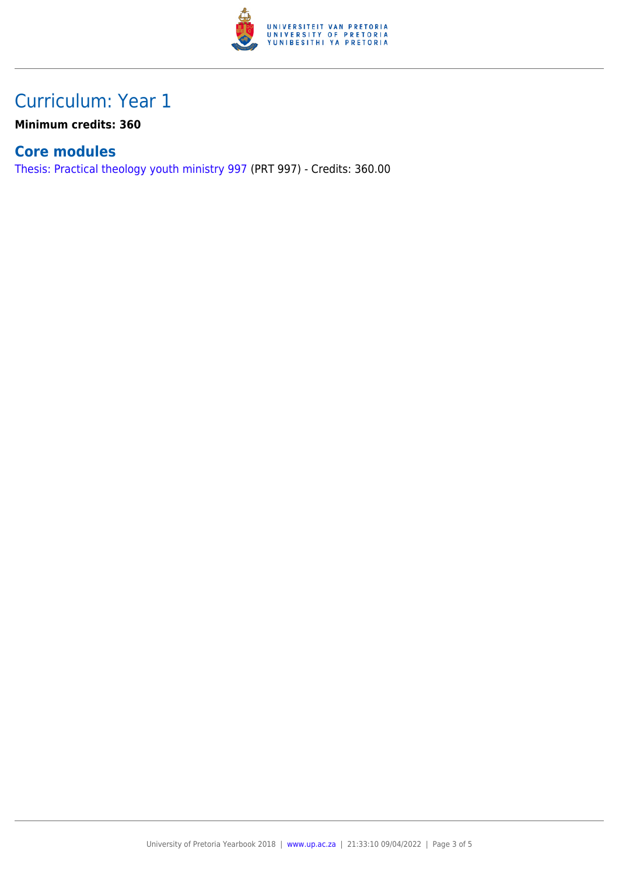

### Curriculum: Year 1

**Minimum credits: 360**

### **Core modules**

[Thesis: Practical theology youth ministry 997](https://www.up.ac.za/faculty-of-education/yearbooks/2018/modules/view/PRT 997) (PRT 997) - Credits: 360.00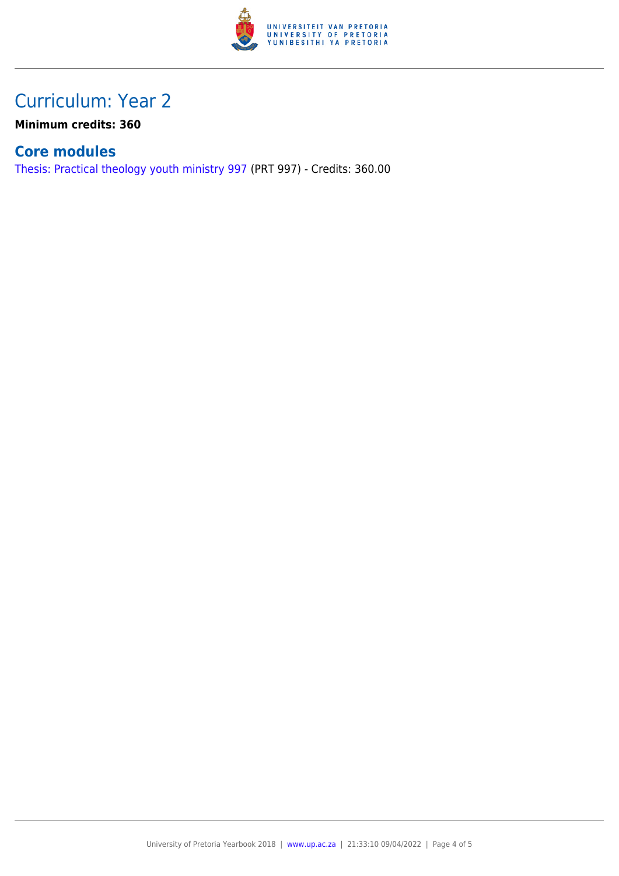

### Curriculum: Year 2

**Minimum credits: 360**

### **Core modules**

[Thesis: Practical theology youth ministry 997](https://www.up.ac.za/faculty-of-education/yearbooks/2018/modules/view/PRT 997) (PRT 997) - Credits: 360.00